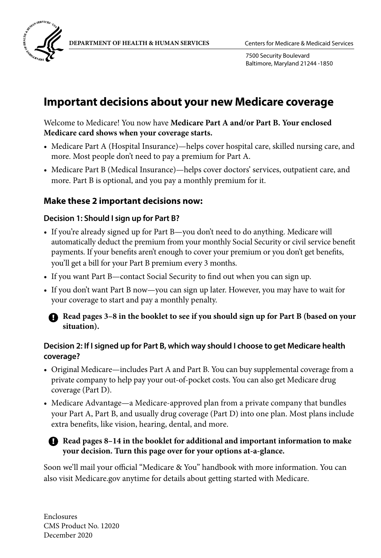

7500 Security Boulevard Baltimore, Maryland 21244 -1850

### **Important decisions about your new Medicare coverage**

Welcome to Medicare! You now have **Medicare Part A and/or Part B. Your enclosed Medicare card shows when your coverage starts.**

- Medicare Part A (Hospital Insurance)—helps cover hospital care, skilled nursing care, and more. Most people don't need to pay a premium for Part A.
- Medicare Part B (Medical Insurance)—helps cover doctors' services, outpatient care, and more. Part B is optional, and you pay a monthly premium for it.

### **Make these 2 important decisions now:**

#### **Decision 1: Should I sign up for Part B?**

- If you're already signed up for Part B—you don't need to do anything. Medicare will automatically deduct the premium from your monthly Social Security or civil service benefit payments. If your benefits aren't enough to cover your premium or you don't get benefits, you'll get a bill for your Part B premium every 3 months.
- If you want Part B—contact Social Security to find out when you can sign up.
- If you don't want Part B now—you can sign up later. However, you may have to wait for your coverage to start and pay a monthly penalty.

#### **A** Read pages 3-8 in the booklet to see if you should sign up for Part B (based on your **situation).**

#### **Decision 2: If I signed up for Part B, which way should I choose to get Medicare health coverage?**

- Original Medicare—includes Part A and Part B. You can buy supplemental coverage from a private company to help pay your out-of-pocket costs. You can also get Medicare drug coverage (Part D).
- Medicare Advantage—a Medicare-approved plan from a private company that bundles your Part A, Part B, and usually drug coverage (Part D) into one plan. Most plans include extra benefits, like vision, hearing, dental, and more.

#### **A** Read pages 8-14 in the booklet for additional and important information to make **your decision. Turn this page over for your options at-a-glance.**

Soon we'll mail your official "Medicare & You" handbook with more information. You can also visit [Medicare.gov](http://Medicare.gov) anytime for details about getting started with Medicare.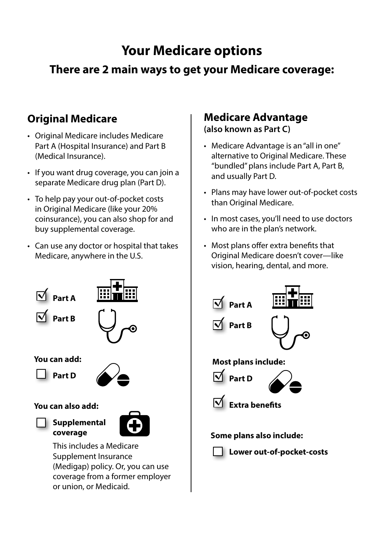## **Your Medicare options**

## **There are 2 main ways to get your Medicare coverage:**

### **Original Medicare**

- Original Medicare includes Medicare Part A (Hospital Insurance) and Part B (Medical Insurance).
- If you want drug coverage, you can join a separate Medicare drug plan (Part D).
- To help pay your out-of-pocket costs in Original Medicare (like your 20% coinsurance), you can also shop for and buy supplemental coverage.
- Can use any doctor or hospital that takes Medicare, anywhere in the U.S.



#### **You can also add:**

#### **Supplemental coverage**



This includes a Medicare Supplement Insurance (Medigap) policy. Or, you can use coverage from a former employer or union, or Medicaid.

### **Medicare Advantage**

**(also known as Part C)**

- Medicare Advantage is an "all in one" alternative to Original Medicare. These "bundled" plans include Part A, Part B, and usually Part D.
- Plans may have lower out-of-pocket costs than Original Medicare.
- In most cases, you'll need to use doctors who are in the plan's network.
- Most plans offer extra benefits that Original Medicare doesn't cover—like vision, hearing, dental, and more.

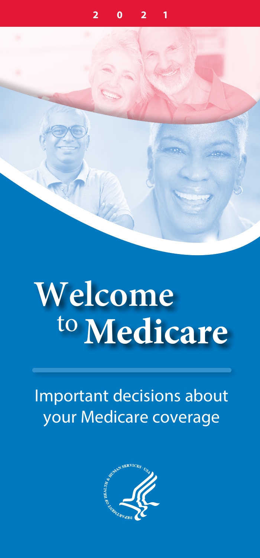



# **Welcome** to**Medicare**

### Important decisions about your Medicare coverage

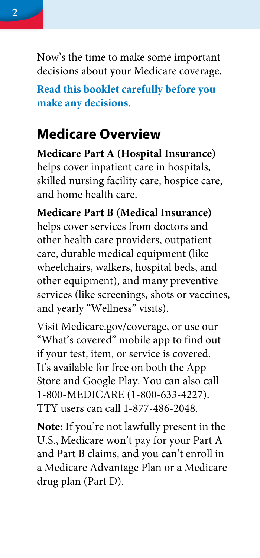Now's the time to make some important decisions about your Medicare coverage.

**Read this booklet carefully before you make any decisions.**

#### **Medicare Overview**

**Medicare Part A (Hospital Insurance)** helps cover inpatient care in hospitals, skilled nursing facility care, hospice care, and home health care.

**Medicare Part B (Medical Insurance)** helps cover services from doctors and other health care providers, outpatient care, durable medical equipment (like wheelchairs, walkers, hospital beds, and other equipment), and many preventive services (like screenings, shots or vaccines, and yearly "Wellness" visits).

Visit [Medicare.gov/coverage](http://Medicare.gov/coverage), or use our "What's covered" mobile app to find out if your test, item, or service is covered. It's available for free on both the App Store and Google Play. You can also call 1-800-MEDICARE (1-800-633-4227). TTY users can call 1-877-486-2048.

**Note:** If you're not lawfully present in the U.S., Medicare won't pay for your Part A and Part B claims, and you can't enroll in a Medicare Advantage Plan or a Medicare drug plan (Part D).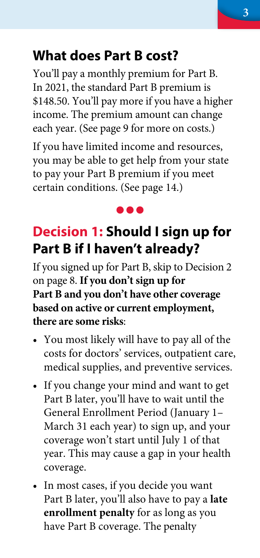### <span id="page-4-0"></span>**What does Part B cost?**

You'll pay a monthly premium for Part B. In 2021, the standard Part B premium is \$148.50. You'll pay more if you have a higher income. The premium amount can change each year. [\(See page 9](#page-10-0) for more on costs.)

If you have limited income and resources, you may be able to get help from your state to pay your Part B premium if you meet certain conditions. ([See page 14.\)](#page-15-0)

#### **...**

### **Decision 1: Should I sign up for Part B if I haven't already?**

If you signed up for Part B, skip to Decision 2 [on page 8.](#page-7-0) **If you don't sign up for Part B and you don't have other coverage based on active or current employment, there are some risks**:

- You most likely will have to pay all of the costs for doctors' services, outpatient care, medical supplies, and preventive services.
- If you change your mind and want to get Part B later, you'll have to wait until the General Enrollment Period (January 1– March 31 each year) to sign up, and your coverage won't start until July 1 of that year. This may cause a gap in your health coverage.
- In most cases, if you decide you want Part B later, you'll also have to pay a **late enrollment penalty** for as long as you have Part B coverage. The penalty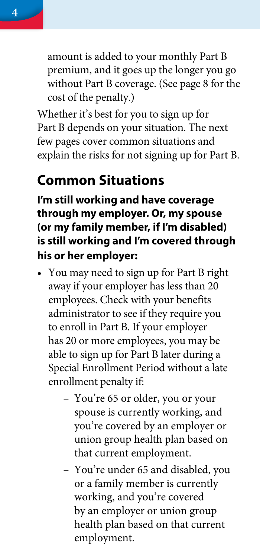<span id="page-5-0"></span>

Whether it's best for you to sign up for Part B depends on your situation. The next few pages cover common situations and explain the risks for not signing up for Part B.

#### **Common Situations**

**I'm still working and have coverage through my employer. Or, my spouse (or my family member, if I'm disabled) is still working and I'm covered through his or her employer:**

- You may need to sign up for Part B right away if your employer has less than 20 employees. Check with your benefits administrator to see if they require you to enroll in Part B. If your employer has 20 or more employees, you may be able to sign up for Part B later during a Special Enrollment Period without a late enrollment penalty if:
	- You're 65 or older, you or your spouse is currently working, and you're covered by an employer or union group health plan based on that current employment.
	- You're under 65 and disabled, you or a family member is currently working, and you're covered by an employer or union group health plan based on that current employment.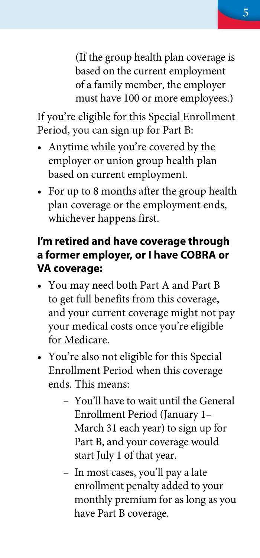(If the group health plan coverage is based on the current employment of a family member, the employer must have 100 or more employees.)

If you're eligible for this Special Enrollment Period, you can sign up for Part B:

- Anytime while you're covered by the employer or union group health plan based on current employment.
- For up to 8 months after the group health plan coverage or the employment ends, whichever happens first.

#### **I'm retired and have coverage through a former employer, or I have COBRA or VA coverage:**

- You may need both Part A and Part B to get full benefits from this coverage, and your current coverage might not pay your medical costs once you're eligible for Medicare.
- You're also not eligible for this Special Enrollment Period when this coverage ends. This means:
	- You'll have to wait until the General Enrollment Period (January 1– March 31 each year) to sign up for Part B, and your coverage would start July 1 of that year.
	- In most cases, you'll pay a late enrollment penalty added to your monthly premium for as long as you have Part B coverage.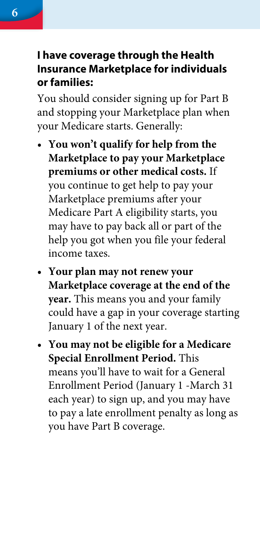#### <span id="page-7-0"></span>**I have coverage through the Health Insurance Marketplace for individuals or families:**

You should consider signing up for Part B and stopping your Marketplace plan when your Medicare starts. Generally:

- **• You won't qualify for help from the Marketplace to pay your Marketplace premiums or other medical costs.** If you continue to get help to pay your Marketplace premiums after your Medicare Part A eligibility starts, you may have to pay back all or part of the help you got when you file your federal income taxes.
- **• Your plan may not renew your Marketplace coverage at the end of the year.** This means you and your family could have a gap in your coverage starting January 1 of the next year.
- **• You may not be eligible for a Medicare Special Enrollment Period.** This means you'll have to wait for a General Enrollment Period (January 1 -March 31 each year) to sign up, and you may have to pay a late enrollment penalty as long as you have Part B coverage.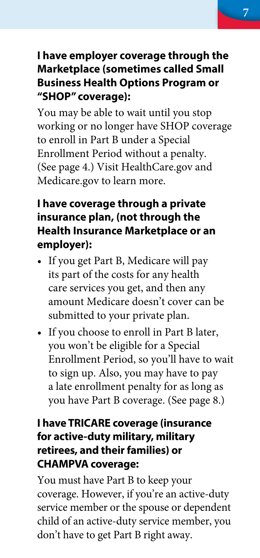#### **I have employer coverage through the Marketplace (sometimes called Small Business Health Options Program or "SHOP" coverage):**

You may be able to wait until you stop working or no longer have SHOP coverage to enroll in Part B under a Special Enrollment Period without a penalty. ([See page 4.\)](#page-5-0) Visit [HealthCare.gov](http://HealthCare.gov) and [Medicare.gov](http://Medicare.gov) to learn more.

#### **I have coverage through a private insurance plan, (not through the Health Insurance Marketplace or an employer):**

- If you get Part B, Medicare will pay its part of the costs for any health care services you get, and then any amount Medicare doesn't cover can be submitted to your private plan.
- If you choose to enroll in Part B later, you won't be eligible for a Special Enrollment Period, so you'll have to wait to sign up. Also, you may have to pay a late enrollment penalty for as long as you have Part B coverage. [\(See page 8.](#page-9-0))

#### **I have TRICARE coverage (insurance for active-duty military, military retirees, and their families) or CHAMPVA coverage:**

You must have Part B to keep your coverage. However, if you're an active-duty service member or the spouse or dependent child of an active-duty service member, you don't have to get Part B right away.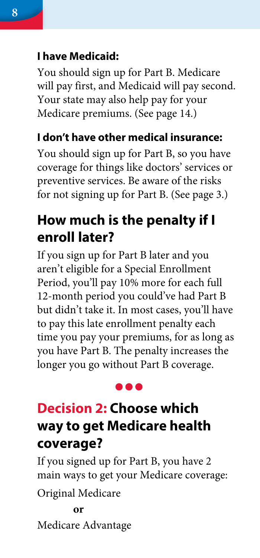#### <span id="page-9-0"></span>**I have Medicaid:**

You should sign up for Part B. Medicare will pay first, and Medicaid will pay second. Your state may also help pay for your Medicare premiums. [\(See page 14.](#page-15-0))

#### **I don't have other medical insurance:**

You should sign up for Part B, so you have coverage for things like doctors' services or preventive services. Be aware of the risks for not signing up for Part B. [\(See page 3.](#page-4-0))

### **How much is the penalty if I enroll later?**

If you sign up for Part B later and you aren't eligible for a Special Enrollment Period, you'll pay 10% more for each full 12-month period you could've had Part B but didn't take it. In most cases, you'll have to pay this late enrollment penalty each time you pay your premiums, for as long as you have Part B. The penalty increases the longer you go without Part B coverage.

#### **. . .**

### **Decision 2: Choose which way to get Medicare health coverage?**

If you signed up for Part B, you have 2 main ways to get your Medicare coverage:

Original Medicare

#### **or**

Medicare Advantage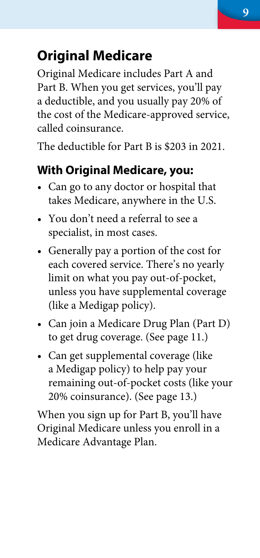### <span id="page-10-0"></span>**Original Medicare**

Original Medicare includes Part A and Part B. When you get services, you'll pay a deductible, and you usually pay 20% of the cost of the Medicare-approved service, called coinsurance.

The deductible for Part B is \$203 in 2021.

#### **With Original Medicare, you:**

- Can go to any doctor or hospital that takes Medicare, anywhere in the U.S.
- You don't need a referral to see a specialist, in most cases.
- Generally pay a portion of the cost for each covered service. There's no yearly limit on what you pay out-of-pocket, unless you have supplemental coverage (like a Medigap policy).
- Can join a Medicare Drug Plan (Part D) to get drug coverage. ([See page 11.\)](#page-12-0)
- Can get supplemental coverage (like a Medigap policy) to help pay your remaining out-of-pocket costs (like your 20% coinsurance). [\(See page 13.](#page-14-0))

When you sign up for Part B, you'll have Original Medicare unless you enroll in a Medicare Advantage Plan.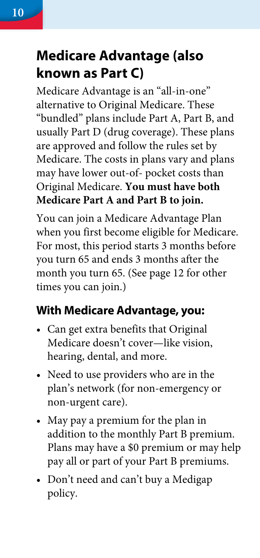### **Medicare Advantage (also known as Part C)**

Medicare Advantage is an "all-in-one" alternative to Original Medicare. These "bundled" plans include Part A, Part B, and usually Part D (drug coverage). These plans are approved and follow the rules set by Medicare. The costs in plans vary and plans may have lower out-of- pocket costs than Original Medicare. **You must have both Medicare Part A and Part B to join.**

You can join a Medicare Advantage Plan when you first become eligible for Medicare. For most, this period starts 3 months before you turn 65 and ends 3 months after the month you turn 65. ([See page 12 for other](#page-13-0)  [times you can join.\)](#page-13-0)

### **With Medicare Advantage, you:**

- Can get extra benefits that Original Medicare doesn't cover—like vision, hearing, dental, and more.
- Need to use providers who are in the plan's network (for non-emergency or non-urgent care).
- May pay a premium for the plan in addition to the monthly Part B premium. Plans may have a \$0 premium or may help pay all or part of your Part B premiums.
- Don't need and can't buy a Medigap policy.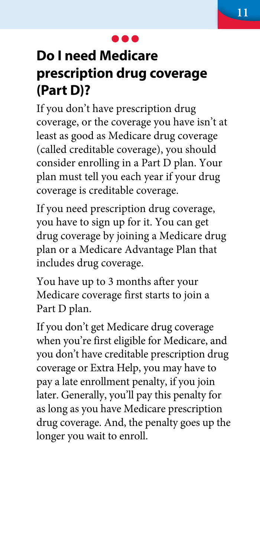### <span id="page-12-0"></span>**Do I need Medicare prescription drug coverage (Part D)?**

If you don't have prescription drug coverage, or the coverage you have isn't at least as good as Medicare drug coverage (called creditable coverage), you should consider enrolling in a Part D plan. Your plan must tell you each year if your drug coverage is creditable coverage.

If you need prescription drug coverage, you have to sign up for it. You can get drug coverage by joining a Medicare drug plan or a Medicare Advantage Plan that includes drug coverage.

You have up to 3 months after your Medicare coverage first starts to join a Part D plan.

If you don't get Medicare drug coverage when you're first eligible for Medicare, and you don't have creditable prescription drug coverage or Extra Help, you may have to pay a late enrollment penalty, if you join later. Generally, you'll pay this penalty for as long as you have Medicare prescription drug coverage. And, the penalty goes up the longer you wait to enroll.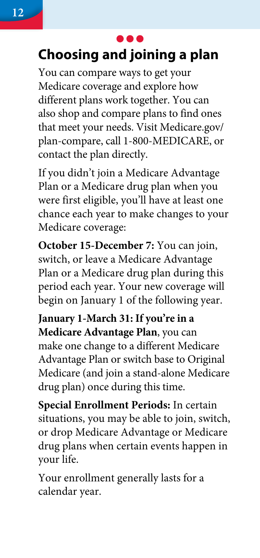## <span id="page-13-0"></span>**Choosing and joining a plan**

You can compare ways to get your Medicare coverage and explore how different plans work together. You can also shop and compare plans to find ones that meet your needs. Visit [Medicare.gov/](http://Medicare.gov/plan-compare) [plan-compare,](http://Medicare.gov/plan-compare) call 1-800-MEDICARE, or contact the plan directly.

If you didn't join a Medicare Advantage Plan or a Medicare drug plan when you were first eligible, you'll have at least one chance each year to make changes to your Medicare coverage:

**October 15-December 7:** You can join, switch, or leave a Medicare Advantage Plan or a Medicare drug plan during this period each year. Your new coverage will begin on January 1 of the following year.

**January 1-March 31: If you're in a Medicare Advantage Plan**, you can make one change to a different Medicare Advantage Plan or switch base to Original Medicare (and join a stand-alone Medicare drug plan) once during this time.

**Special Enrollment Periods:** In certain situations, you may be able to join, switch, or drop Medicare Advantage or Medicare drug plans when certain events happen in your life.

Your enrollment generally lasts for a calendar year.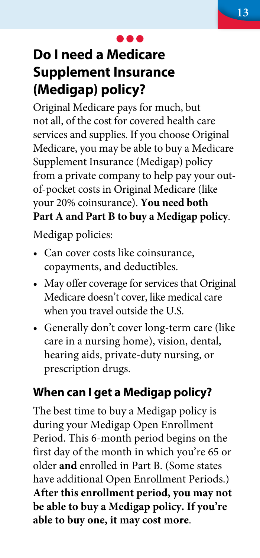### <span id="page-14-0"></span>**Do I need a Medicare Supplement Insurance (Medigap) policy?**

Original Medicare pays for much, but not all, of the cost for covered health care services and supplies. If you choose Original Medicare, you may be able to buy a Medicare Supplement Insurance (Medigap) policy from a private company to help pay your outof-pocket costs in Original Medicare (like your 20% coinsurance). **You need both Part A and Part B to buy a Medigap policy**.

Medigap policies:

- Can cover costs like coinsurance, copayments, and deductibles.
- May offer coverage for services that Original Medicare doesn't cover, like medical care when you travel outside the U.S.
- Generally don't cover long-term care (like care in a nursing home), vision, dental, hearing aids, private-duty nursing, or prescription drugs.

#### **When can I get a Medigap policy?**

The best time to buy a Medigap policy is during your Medigap Open Enrollment Period. This 6-month period begins on the first day of the month in which you're 65 or older **and** enrolled in Part B. (Some states have additional Open Enrollment Periods.) **After this enrollment period, you may not be able to buy a Medigap policy. If you're able to buy one, it may cost more**.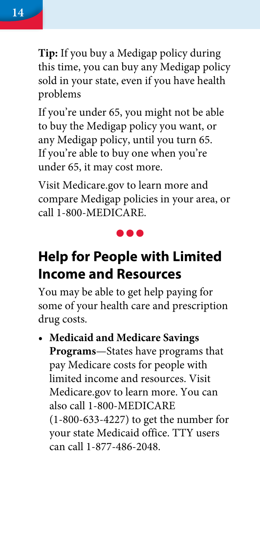<span id="page-15-0"></span>

**Tip:** If you buy a Medigap policy during this time, you can buy any Medigap policy sold in your state, even if you have health problems

If you're under 65, you might not be able to buy the Medigap policy you want, or any Medigap policy, until you turn 65. If you're able to buy one when you're under 65, it may cost more.

Visit [Medicare.gov](http://Medicare.gov) to learn more and compare Medigap policies in your area, or call 1-800-MEDICARE.

### **Help for People with Limited Income and Resources**

You may be able to get help paying for some of your health care and prescription drug costs.

**• Medicaid and Medicare Savings Programs**—States have programs that pay Medicare costs for people with limited income and resources. Visit [Medicare.gov](http://Medicare.gov) to learn more. You can also call 1-800-MEDICARE (1-800-633-4227) to get the number for your state Medicaid office. TTY users can call 1-877-486-2048.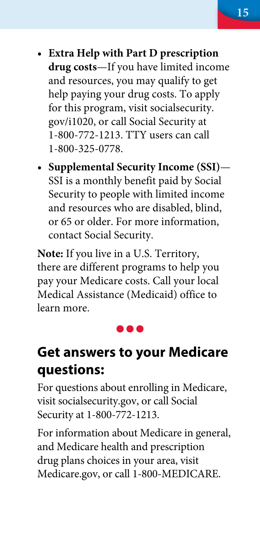- **• Extra Help with Part D prescription drug costs**—If you have limited income and resources, you may qualify to get help paying your drug costs. To apply for this program, visit [socialsecurity.](http://socialsecurity.gov/i1020) [gov/i1020](http://socialsecurity.gov/i1020), or call Social Security at 1-800-772-1213. TTY users can call 1-800-325-0778.
- **• Supplemental Security Income (SSI)** SSI is a monthly benefit paid by Social Security to people with limited income and resources who are disabled, blind, or 65 or older. For more information, contact Social Security.

**Note:** If you live in a U.S. Territory, there are different programs to help you pay your Medicare costs. Call your local Medical Assistance (Medicaid) office to learn more.

#### ,,,

#### **Get answers to your Medicare questions:**

For questions about enrolling in Medicare, visit [socialsecurity.gov](http://socialsecurity.gov), or call Social Security at 1-800-772-1213.

For information about Medicare in general, and Medicare health and prescription drug plans choices in your area, visit [Medicare.gov,](http://Medicare.gov) or call 1-800-MEDICARE.